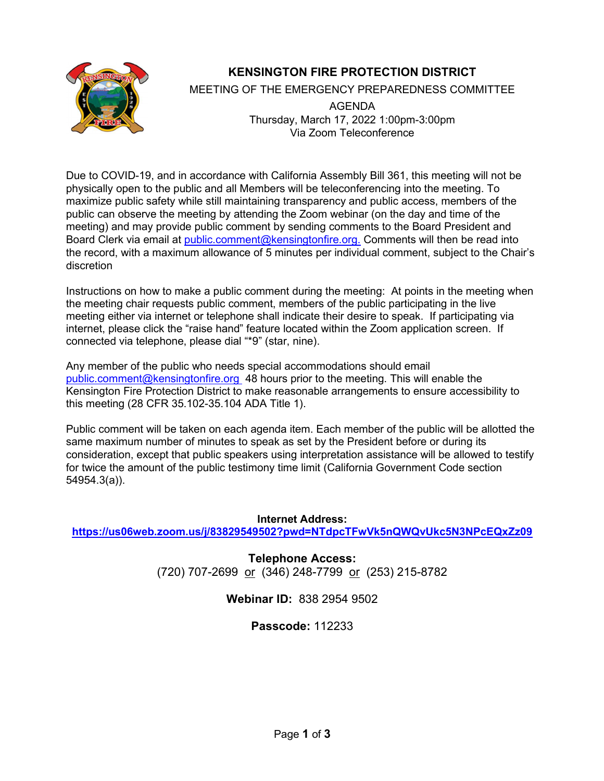

# **KENSINGTON FIRE PROTECTION DISTRICT**

MEETING OF THE EMERGENCY PREPAREDNESS COMMITTEE

AGENDA Thursday, March 17, 2022 1:00pm-3:00pm Via Zoom Teleconference

Due to COVID-19, and in accordance with California Assembly Bill 361, this meeting will not be physically open to the public and all Members will be teleconferencing into the meeting. To maximize public safety while still maintaining transparency and public access, members of the public can observe the meeting by attending the Zoom webinar (on the day and time of the meeting) and may provide public comment by sending comments to the Board President and Board Clerk via email at [public.comment@kensingtonfire.org.](mailto:public.comment@kensingtonfire.org.) Comments will then be read into the record, with a maximum allowance of 5 minutes per individual comment, subject to the Chair's discretion

Instructions on how to make a public comment during the meeting: At points in the meeting when the meeting chair requests public comment, members of the public participating in the live meeting either via internet or telephone shall indicate their desire to speak. If participating via internet, please click the "raise hand" feature located within the Zoom application screen. If connected via telephone, please dial "\*9" (star, nine).

Any member of the public who needs special accommodations should email public.comment@kensingtonfire.org 48 hours prior to the meeting. This will enable the Kensington Fire Protection District to make reasonable arrangements to ensure accessibility to this meeting (28 CFR 35.102-35.104 ADA Title 1).

Public comment will be taken on each agenda item. Each member of the public will be allotted the same maximum number of minutes to speak as set by the President before or during its consideration, except that public speakers using interpretation assistance will be allowed to testify for twice the amount of the public testimony time limit (California Government Code section 54954.3(a)).

**Internet Address: <https://us06web.zoom.us/j/83829549502?pwd=NTdpcTFwVk5nQWQvUkc5N3NPcEQxZz09>**

> **Telephone Access:** (720) 707-2699 or (346) 248-7799 or (253) 215-8782

> > **Webinar ID:** 838 2954 9502

**Passcode:** 112233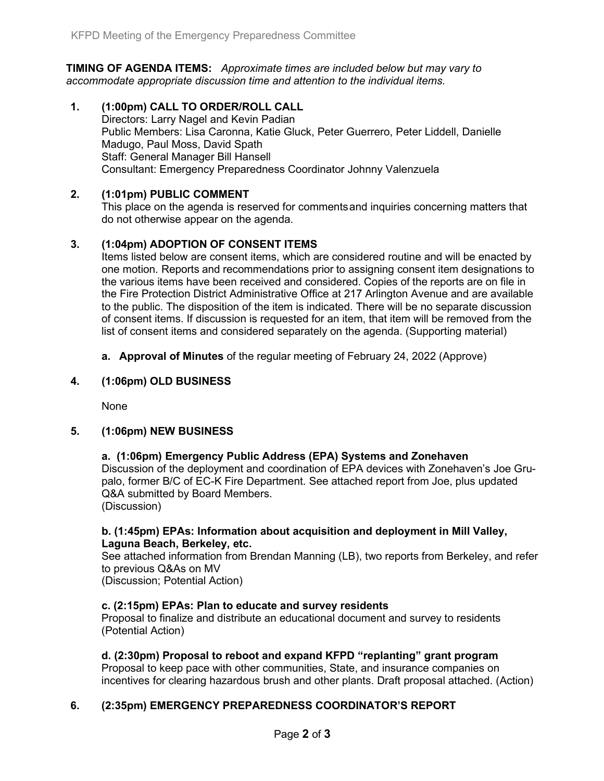**TIMING OF AGENDA ITEMS:** *Approximate times are included below but may vary to accommodate appropriate discussion time and attention to the individual items.*

**1. (1:00pm) CALL TO ORDER/ROLL CALL** Directors: Larry Nagel and Kevin Padian Public Members: Lisa Caronna, Katie Gluck, Peter Guerrero, Peter Liddell, Danielle Madugo, Paul Moss, David Spath Staff: General Manager Bill Hansell Consultant: Emergency Preparedness Coordinator Johnny Valenzuela

#### **2. (1:01pm) PUBLIC COMMENT**

This place on the agenda is reserved for commentsand inquiries concerning matters that do not otherwise appear on the agenda.

## **3. (1:04pm) ADOPTION OF CONSENT ITEMS**

Items listed below are consent items, which are considered routine and will be enacted by one motion. Reports and recommendations prior to assigning consent item designations to the various items have been received and considered. Copies of the reports are on file in the Fire Protection District Administrative Office at 217 Arlington Avenue and are available to the public. The disposition of the item is indicated. There will be no separate discussion of consent items. If discussion is requested for an item, that item will be removed from the list of consent items and considered separately on the agenda. (Supporting material)

**a. Approval of Minutes** of the regular meeting of February 24, 2022 (Approve)

#### **4. (1:06pm) OLD BUSINESS**

None

#### **5. (1:06pm) NEW BUSINESS**

#### **a. (1:06pm) Emergency Public Address (EPA) Systems and Zonehaven**

Discussion of the deployment and coordination of EPA devices with Zonehaven's Joe Grupalo, former B/C of EC-K Fire Department. See attached report from Joe, plus updated Q&A submitted by Board Members.

(Discussion)

#### **b. (1:45pm) EPAs: Information about acquisition and deployment in Mill Valley, Laguna Beach, Berkeley, etc.**

See attached information from Brendan Manning (LB), two reports from Berkeley, and refer to previous Q&As on MV

(Discussion; Potential Action)

#### **c. (2:15pm) EPAs: Plan to educate and survey residents**

Proposal to finalize and distribute an educational document and survey to residents (Potential Action)

#### **d. (2:30pm) Proposal to reboot and expand KFPD "replanting" grant program**

Proposal to keep pace with other communities, State, and insurance companies on incentives for clearing hazardous brush and other plants. Draft proposal attached. (Action)

#### **6. (2:35pm) EMERGENCY PREPAREDNESS COORDINATOR'S REPORT**